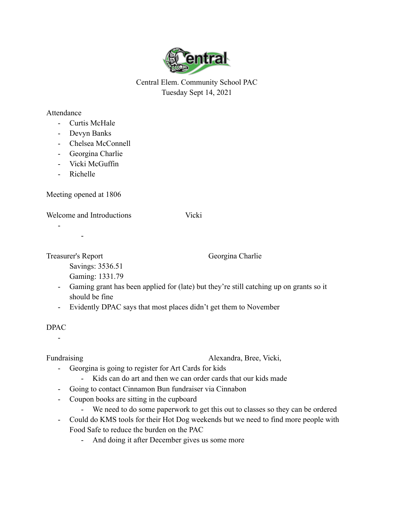

Central Elem. Community School PAC Tuesday Sept 14, 2021

## Attendance

- Curtis McHale
- Devyn Banks
- Chelsea McConnell
- Georgina Charlie
- Vicki McGuffin
- Richelle

Meeting opened at 1806

Welcome and Introductions Vicki

-

-

Treasurer's Report Georgina Charlie

Savings: 3536.51

Gaming: 1331.79

- Gaming grant has been applied for (late) but they're still catching up on grants so it should be fine
- Evidently DPAC says that most places didn't get them to November

## DPAC

-

Fundraising Alexandra, Bree, Vicki,

- Georgina is going to register for Art Cards for kids
	- Kids can do art and then we can order cards that our kids made
- Going to contact Cinnamon Bun fundraiser via Cinnabon
- Coupon books are sitting in the cupboard
	- We need to do some paperwork to get this out to classes so they can be ordered
- Could do KMS tools for their Hot Dog weekends but we need to find more people with Food Safe to reduce the burden on the PAC
	- And doing it after December gives us some more